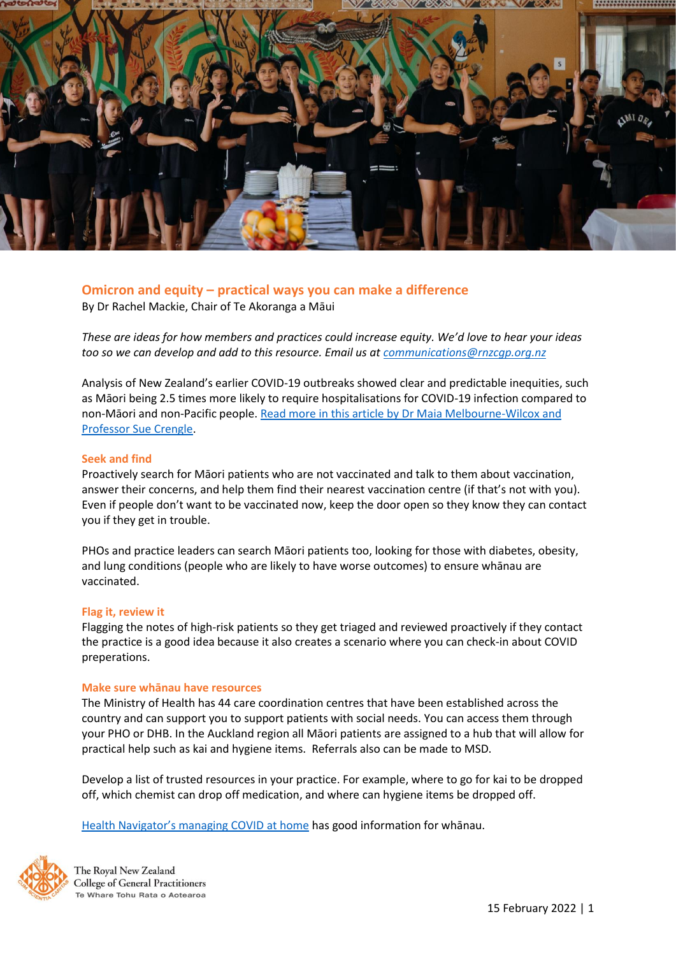

# **Omicron and equity – practical ways you can make a difference**

By Dr Rachel Mackie, Chair of Te Akoranga a Māui

*These are ideas for how members and practices could increase equity. We'd love to hear your ideas too so we can develop and add to this resource. Email us a[t communications@rnzcgp.org.nz](mailto:communications@rnzcgp.org.nz)*

Analysis of New Zealand's earlier COVID-19 outbreaks showed clear and predictable inequities, such as Māori being 2.5 times more likely to require hospitalisations for COVID-19 infection compared to non-Māori and non-Pacific people. [Read more in this article by Dr Maia Melbourne-Wilcox and](https://www.rnzcgp.org.nz/Covid19/Vaccine/COVID-19_vaccine_and_equity/Covid19/Clinical/COVID-19_vaccine_and_equity.aspx?hkey=08159fcb-cfe6-48b3-a89b-33fa181c5ac2)  [Professor Sue Crengle.](https://www.rnzcgp.org.nz/Covid19/Vaccine/COVID-19_vaccine_and_equity/Covid19/Clinical/COVID-19_vaccine_and_equity.aspx?hkey=08159fcb-cfe6-48b3-a89b-33fa181c5ac2)

## **Seek and find**

Proactively search for Māori patients who are not vaccinated and talk to them about vaccination, answer their concerns, and help them find their nearest vaccination centre (if that's not with you). Even if people don't want to be vaccinated now, keep the door open so they know they can contact you if they get in trouble.

PHOs and practice leaders can search Māori patients too, looking for those with diabetes, obesity, and lung conditions (people who are likely to have worse outcomes) to ensure whānau are vaccinated.

## **Flag it, review it**

Flagging the notes of high-risk patients so they get triaged and reviewed proactively if they contact the practice is a good idea because it also creates a scenario where you can check-in about COVID preperations.

## **Make sure whānau have resources**

The Ministry of Health has 44 care coordination centres that have been established across the country and can support you to support patients with social needs. You can access them through your PHO or DHB. In the Auckland region all Māori patients are assigned to a hub that will allow for practical help such as kai and hygiene items. Referrals also can be made to MSD.

Develop a list of trusted resources in your practice. For example, where to go for kai to be dropped off, which chemist can drop off medication, and where can hygiene items be dropped off.

[Health Navigator's managing COVID at home](https://www.healthnavigator.org.nz/health-a-z/c/covid-19-positive-care-at-home/) has good information for whānau.



The Royal New Zealand **College of General Practitioners** Te Whare Tohu Rata o Aotearoa